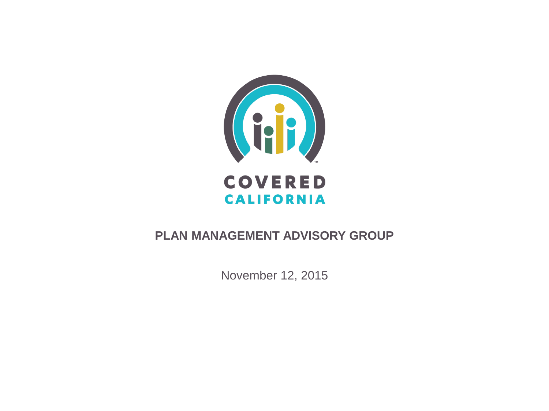

#### **PLAN MANAGEMENT ADVISORY GROUP**

November 12, 2015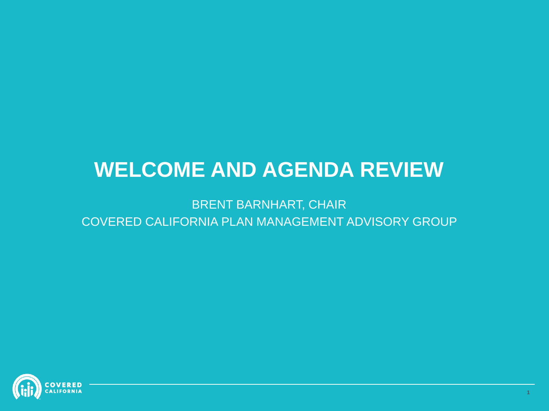### **WELCOME AND AGENDA REVIEW**

BRENT BARNHART, CHAIR COVERED CALIFORNIA PLAN MANAGEMENT ADVISORY GROUP

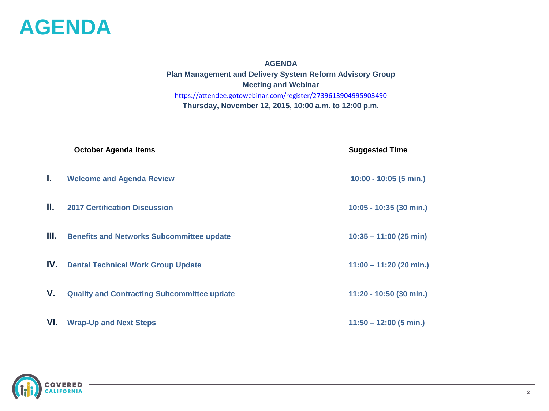

**AGENDA Plan Management and Delivery System Reform Advisory Group Meeting and Webinar** <https://attendee.gotowebinar.com/register/2739613904995903490> **Thursday, November 12, 2015, 10:00 a.m. to 12:00 p.m.**

**October Agenda Items Suggested Time I. Welcome and Agenda Review 10:00 - 10:05 (5 min.) II. 2017 Certification Discussion 10:05 - 10:35 (30 min.) III.** Benefits and Networks Subcommittee update 10:35 – 11:00 (25 min) **IV. Dental Technical Work Group Update 11:00 – 11:20 (20 min.) V.** Quality and Contracting Subcommittee update 11:20 - 10:50 (30 min.) **VI. Wrap-Up and Next Steps 11:50 – 12:00 (5 min.)**

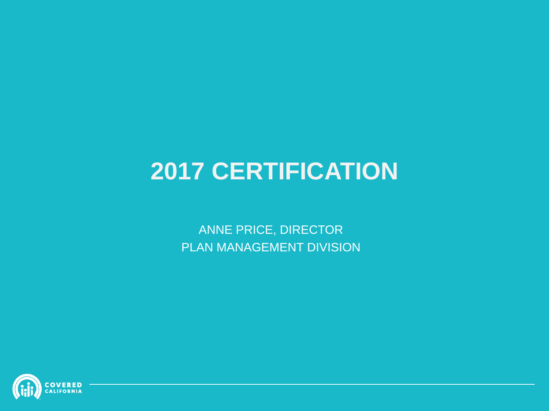# **2017 CERTIFICATION**

ANNE PRICE, DIRECTOR PLAN MANAGEMENT DIVISION

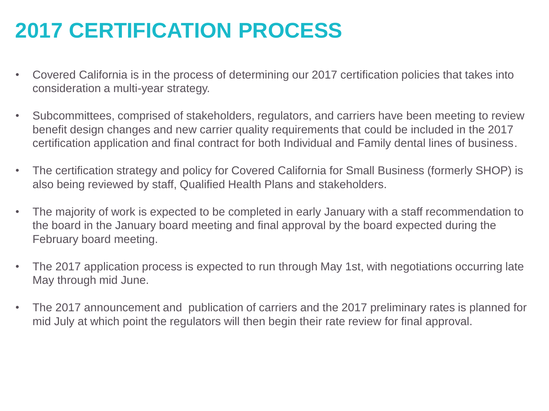### **2017 CERTIFICATION PROCESS**

- Covered California is in the process of determining our 2017 certification policies that takes into consideration a multi-year strategy.
- Subcommittees, comprised of stakeholders, regulators, and carriers have been meeting to review benefit design changes and new carrier quality requirements that could be included in the 2017 certification application and final contract for both Individual and Family dental lines of business.
- The certification strategy and policy for Covered California for Small Business (formerly SHOP) is also being reviewed by staff, Qualified Health Plans and stakeholders.
- The majority of work is expected to be completed in early January with a staff recommendation to the board in the January board meeting and final approval by the board expected during the February board meeting.
- The 2017 application process is expected to run through May 1st, with negotiations occurring late May through mid June.
- The 2017 announcement and publication of carriers and the 2017 preliminary rates is planned for mid July at which point the regulators will then begin their rate review for final approval.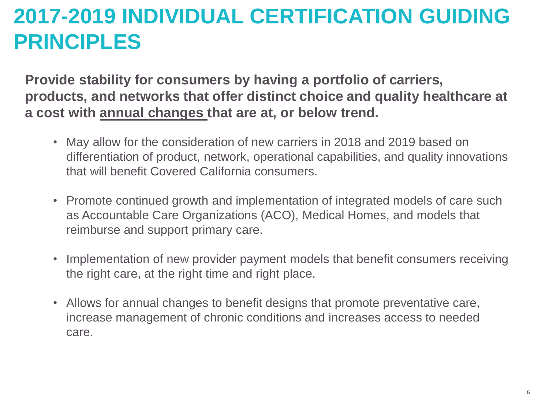### **2017-2019 INDIVIDUAL CERTIFICATION GUIDING PRINCIPLES**

**Provide stability for consumers by having a portfolio of carriers, products, and networks that offer distinct choice and quality healthcare at a cost with annual changes that are at, or below trend.**

- May allow for the consideration of new carriers in 2018 and 2019 based on differentiation of product, network, operational capabilities, and quality innovations that will benefit Covered California consumers.
- Promote continued growth and implementation of integrated models of care such as Accountable Care Organizations (ACO), Medical Homes, and models that reimburse and support primary care.
- Implementation of new provider payment models that benefit consumers receiving the right care, at the right time and right place.
- Allows for annual changes to benefit designs that promote preventative care, increase management of chronic conditions and increases access to needed care.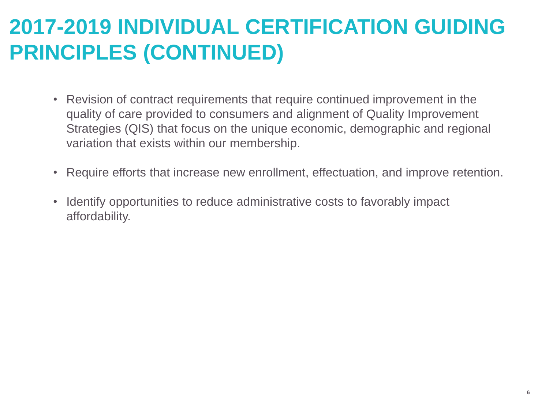### **2017-2019 INDIVIDUAL CERTIFICATION GUIDING PRINCIPLES (CONTINUED)**

- Revision of contract requirements that require continued improvement in the quality of care provided to consumers and alignment of Quality Improvement Strategies (QIS) that focus on the unique economic, demographic and regional variation that exists within our membership.
- Require efforts that increase new enrollment, effectuation, and improve retention.
- Identify opportunities to reduce administrative costs to favorably impact affordability.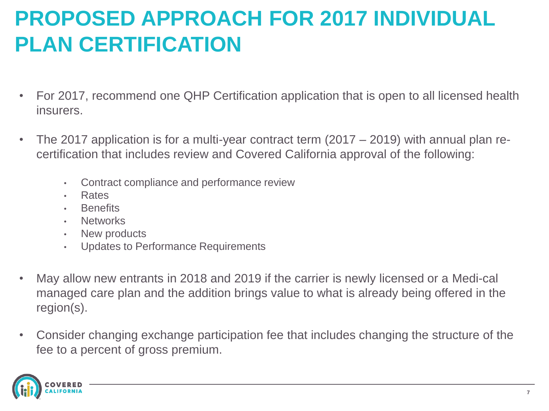## **PROPOSED APPROACH FOR 2017 INDIVIDUAL PLAN CERTIFICATION**

- For 2017, recommend one QHP Certification application that is open to all licensed health insurers.
- The 2017 application is for a multi-year contract term (2017 2019) with annual plan recertification that includes review and Covered California approval of the following:
	- Contract compliance and performance review
	- Rates
	- **Benefits**
	- **Networks**
	- New products
	- Updates to Performance Requirements
- May allow new entrants in 2018 and 2019 if the carrier is newly licensed or a Medi-cal managed care plan and the addition brings value to what is already being offered in the region(s).
- Consider changing exchange participation fee that includes changing the structure of the fee to a percent of gross premium.

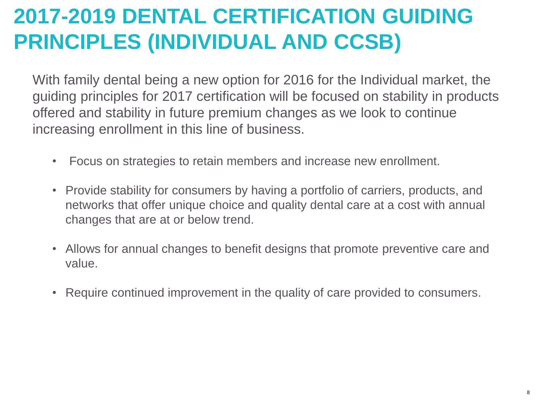## **2017-2019 DENTAL CERTIFICATION GUIDING PRINCIPLES (INDIVIDUAL AND CCSB)**

With family dental being a new option for 2016 for the Individual market, the guiding principles for 2017 certification will be focused on stability in products offered and stability in future premium changes as we look to continue increasing enrollment in this line of business.

- Focus on strategies to retain members and increase new enrollment.
- Provide stability for consumers by having a portfolio of carriers, products, and networks that offer unique choice and quality dental care at a cost with annual changes that are at or below trend.
- Allows for annual changes to benefit designs that promote preventive care and value.
- Require continued improvement in the quality of care provided to consumers.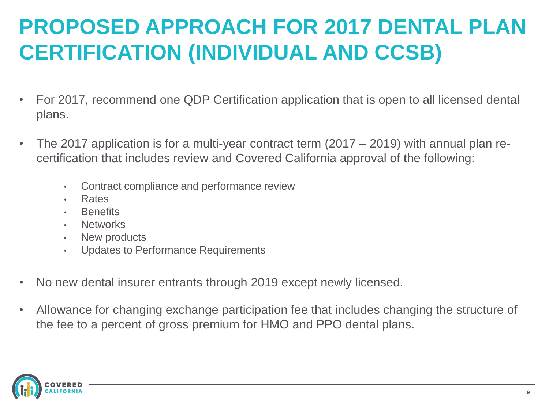## **PROPOSED APPROACH FOR 2017 DENTAL PLAN CERTIFICATION (INDIVIDUAL AND CCSB)**

- For 2017, recommend one QDP Certification application that is open to all licensed dental plans.
- The 2017 application is for a multi-year contract term (2017 2019) with annual plan recertification that includes review and Covered California approval of the following:
	- Contract compliance and performance review
	- **Rates**
	- **Benefits**
	- **Networks**
	- New products
	- Updates to Performance Requirements
- No new dental insurer entrants through 2019 except newly licensed.
- Allowance for changing exchange participation fee that includes changing the structure of the fee to a percent of gross premium for HMO and PPO dental plans.

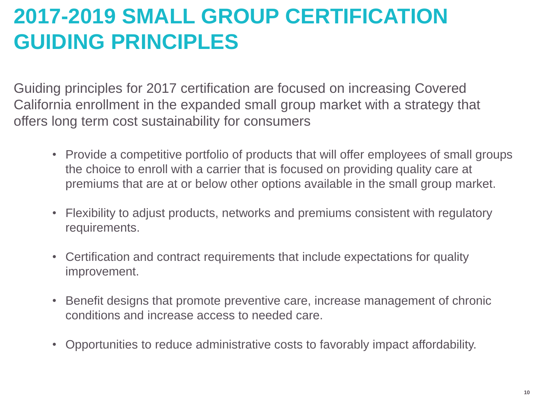### **2017-2019 SMALL GROUP CERTIFICATION GUIDING PRINCIPLES**

Guiding principles for 2017 certification are focused on increasing Covered California enrollment in the expanded small group market with a strategy that offers long term cost sustainability for consumers

- Provide a competitive portfolio of products that will offer employees of small groups the choice to enroll with a carrier that is focused on providing quality care at premiums that are at or below other options available in the small group market.
- Flexibility to adjust products, networks and premiums consistent with regulatory requirements.
- Certification and contract requirements that include expectations for quality improvement.
- Benefit designs that promote preventive care, increase management of chronic conditions and increase access to needed care.
- Opportunities to reduce administrative costs to favorably impact affordability.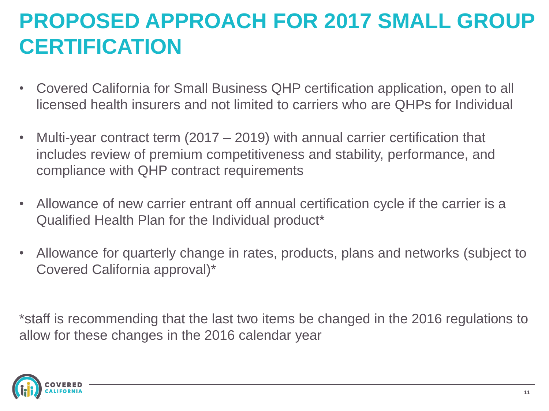## **PROPOSED APPROACH FOR 2017 SMALL GROUP CERTIFICATION**

- Covered California for Small Business QHP certification application, open to all licensed health insurers and not limited to carriers who are QHPs for Individual
- Multi-year contract term  $(2017 2019)$  with annual carrier certification that includes review of premium competitiveness and stability, performance, and compliance with QHP contract requirements
- Allowance of new carrier entrant off annual certification cycle if the carrier is a Qualified Health Plan for the Individual product\*
- Allowance for quarterly change in rates, products, plans and networks (subject to Covered California approval)\*

\*staff is recommending that the last two items be changed in the 2016 regulations to allow for these changes in the 2016 calendar year

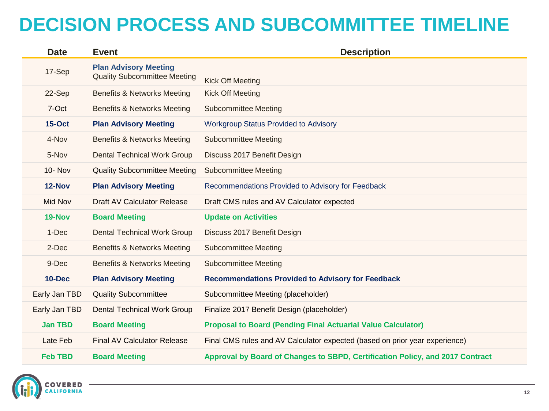### **DECISION PROCESS AND SUBCOMMITTEE TIMELINE**

| <b>Date</b>    | <b>Event</b>                                                        | <b>Description</b>                                                            |  |  |  |  |
|----------------|---------------------------------------------------------------------|-------------------------------------------------------------------------------|--|--|--|--|
| 17-Sep         | <b>Plan Advisory Meeting</b><br><b>Quality Subcommittee Meeting</b> | <b>Kick Off Meeting</b>                                                       |  |  |  |  |
| 22-Sep         | <b>Benefits &amp; Networks Meeting</b>                              | <b>Kick Off Meeting</b>                                                       |  |  |  |  |
| 7-Oct          | <b>Benefits &amp; Networks Meeting</b>                              | <b>Subcommittee Meeting</b>                                                   |  |  |  |  |
| <b>15-Oct</b>  | <b>Plan Advisory Meeting</b>                                        | <b>Workgroup Status Provided to Advisory</b>                                  |  |  |  |  |
| 4-Nov          | <b>Benefits &amp; Networks Meeting</b>                              | Subcommittee Meeting                                                          |  |  |  |  |
| 5-Nov          | <b>Dental Technical Work Group</b>                                  | Discuss 2017 Benefit Design                                                   |  |  |  |  |
| <b>10- Nov</b> | <b>Quality Subcommittee Meeting</b>                                 | Subcommittee Meeting                                                          |  |  |  |  |
| 12-Nov         | <b>Plan Advisory Meeting</b>                                        | Recommendations Provided to Advisory for Feedback                             |  |  |  |  |
| Mid Nov        | Draft AV Calculator Release                                         | Draft CMS rules and AV Calculator expected                                    |  |  |  |  |
| 19-Nov         | <b>Board Meeting</b>                                                | <b>Update on Activities</b>                                                   |  |  |  |  |
| 1-Dec          | <b>Dental Technical Work Group</b>                                  | Discuss 2017 Benefit Design                                                   |  |  |  |  |
| 2-Dec          | Benefits & Networks Meeting                                         | <b>Subcommittee Meeting</b>                                                   |  |  |  |  |
| 9-Dec          | Benefits & Networks Meeting                                         | <b>Subcommittee Meeting</b>                                                   |  |  |  |  |
| <b>10-Dec</b>  | <b>Plan Advisory Meeting</b>                                        | <b>Recommendations Provided to Advisory for Feedback</b>                      |  |  |  |  |
| Early Jan TBD  | <b>Quality Subcommittee</b>                                         | Subcommittee Meeting (placeholder)                                            |  |  |  |  |
| Early Jan TBD  | <b>Dental Technical Work Group</b>                                  | Finalize 2017 Benefit Design (placeholder)                                    |  |  |  |  |
| <b>Jan TBD</b> | <b>Board Meeting</b>                                                | <b>Proposal to Board (Pending Final Actuarial Value Calculator)</b>           |  |  |  |  |
| Late Feb       | <b>Final AV Calculator Release</b>                                  | Final CMS rules and AV Calculator expected (based on prior year experience)   |  |  |  |  |
| <b>Feb TBD</b> | <b>Board Meeting</b>                                                | Approval by Board of Changes to SBPD, Certification Policy, and 2017 Contract |  |  |  |  |

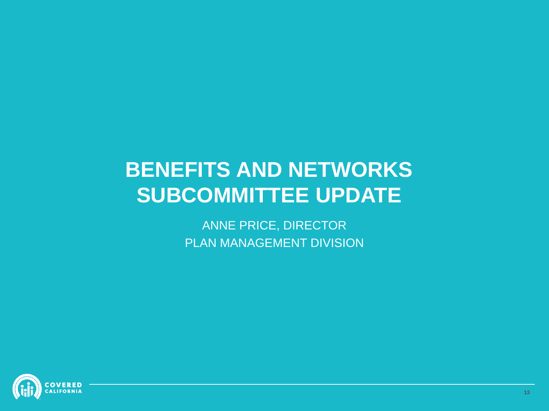### **BENEFITS AND NETWORKS SUBCOMMITTEE UPDATE**

ANNE PRICE, DIRECTOR PLAN MANAGEMENT DIVISION

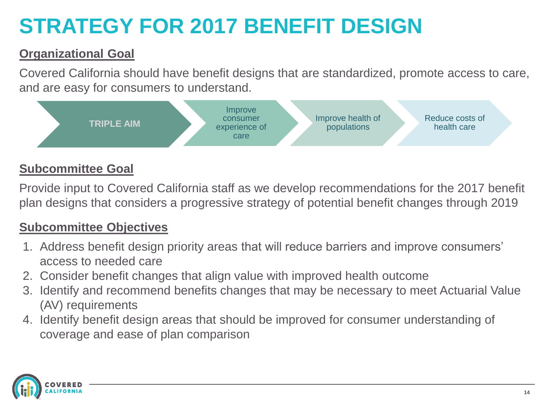# **STRATEGY FOR 2017 BENEFIT DESIGN**

#### **Organizational Goal**

Covered California should have benefit designs that are standardized, promote access to care, and are easy for consumers to understand.



#### **Subcommittee Goal**

Provide input to Covered California staff as we develop recommendations for the 2017 benefit plan designs that considers a progressive strategy of potential benefit changes through 2019

#### **Subcommittee Objectives**

- 1. Address benefit design priority areas that will reduce barriers and improve consumers' access to needed care
- 2. Consider benefit changes that align value with improved health outcome
- 3. Identify and recommend benefits changes that may be necessary to meet Actuarial Value (AV) requirements
- 4. Identify benefit design areas that should be improved for consumer understanding of coverage and ease of plan comparison

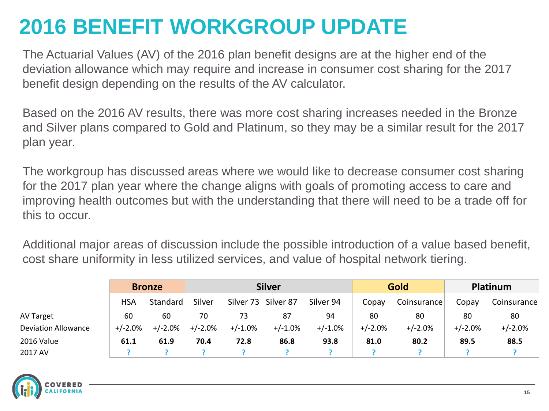### **2016 BENEFIT WORKGROUP UPDATE**

The Actuarial Values (AV) of the 2016 plan benefit designs are at the higher end of the deviation allowance which may require and increase in consumer cost sharing for the 2017 benefit design depending on the results of the AV calculator.

Based on the 2016 AV results, there was more cost sharing increases needed in the Bronze and Silver plans compared to Gold and Platinum, so they may be a similar result for the 2017 plan year.

The workgroup has discussed areas where we would like to decrease consumer cost sharing for the 2017 plan year where the change aligns with goals of promoting access to care and improving health outcomes but with the understanding that there will need to be a trade off for this to occur.

Additional major areas of discussion include the possible introduction of a value based benefit, cost share uniformity in less utilized services, and value of hospital network tiering.

|                            | <b>Bronze</b> |            | <b>Silver</b> |           |            | Gold       |           | <b>Platinum</b> |           |             |
|----------------------------|---------------|------------|---------------|-----------|------------|------------|-----------|-----------------|-----------|-------------|
|                            | <b>HSA</b>    | Standard   | Silver        | Silver 73 | Silver 87  | Silver 94  | Copay     | Coinsurance     | Copay     | Coinsurance |
| <b>AV Target</b>           | 60            | 60         | 70            | 73        | 87         | 94         | 80        | 80              | 80        | 80          |
| <b>Deviation Allowance</b> | +/-2.0%       | $+/-2.0\%$ | $+/-2.0%$     | $+/-1.0%$ | $+/-1.0\%$ | $+/-1.0\%$ | $+/-2.0%$ | $+/-2.0%$       | $+/-2.0%$ | $+/-2.0%$   |
| 2016 Value                 | 61.1          | 61.9       | 70.4          | 72.8      | 86.8       | 93.8       | 81.0      | 80.2            | 89.5      | 88.5        |
| 2017 AV                    |               |            |               |           |            |            |           |                 |           |             |

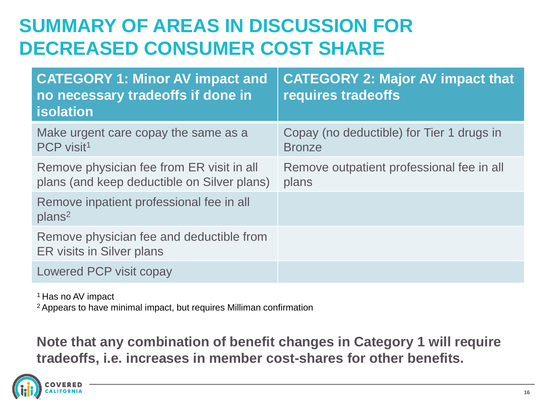### **SUMMARY OF AREAS IN DISCUSSION FOR DECREASED CONSUMER COST SHARE**

| <b>CATEGORY 1: Minor AV impact and</b><br>no necessary tradeoffs if done in<br><b>isolation</b> | <b>CATEGORY 2: Major AV impact that</b><br>requires tradeoffs |
|-------------------------------------------------------------------------------------------------|---------------------------------------------------------------|
| Make urgent care copay the same as a<br>PCP visit <sup>1</sup>                                  | Copay (no deductible) for Tier 1 drugs in<br><b>Bronze</b>    |
| Remove physician fee from ER visit in all<br>plans (and keep deductible on Silver plans)        | Remove outpatient professional fee in all<br>plans            |
| Remove inpatient professional fee in all<br>plans <sup>2</sup>                                  |                                                               |
| Remove physician fee and deductible from<br>ER visits in Silver plans                           |                                                               |
| Lowered PCP visit copay                                                                         |                                                               |

<sup>1</sup> Has no AV impact

<sup>2</sup>Appears to have minimal impact, but requires Milliman confirmation

#### **Note that any combination of benefit changes in Category 1 will require tradeoffs, i.e. increases in member cost-shares for other benefits.**

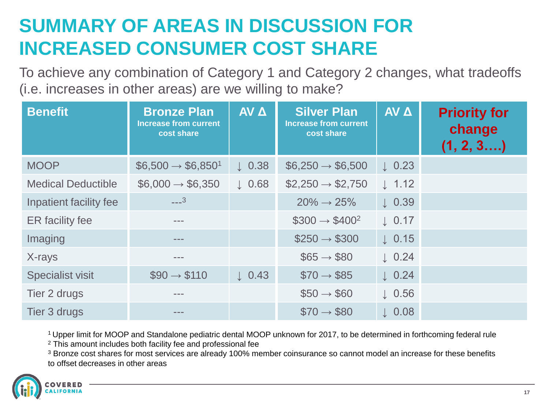### **SUMMARY OF AREAS IN DISCUSSION FOR INCREASED CONSUMER COST SHARE**

To achieve any combination of Category 1 and Category 2 changes, what tradeoffs (i.e. increases in other areas) are we willing to make?

| <b>Benefit</b>            | <b>Bronze Plan</b><br><b>Increase from current</b><br>cost share | AV A              | <b>Silver Plan</b><br><b>Increase from current</b><br>cost share | <b>AV A</b>       | <b>Priority for</b><br>change<br>(1, 2, 3) |
|---------------------------|------------------------------------------------------------------|-------------------|------------------------------------------------------------------|-------------------|--------------------------------------------|
| <b>MOOP</b>               | $$6,500 \rightarrow $6,850^1$                                    | $\downarrow$ 0.38 | $$6,250 \rightarrow $6,500$                                      | $\downarrow$ 0.23 |                                            |
| <b>Medical Deductible</b> | $$6,000 \rightarrow $6,350$                                      | $\downarrow$ 0.68 | $$2,250 \rightarrow $2,750$                                      | $\downarrow$ 1.12 |                                            |
| Inpatient facility fee    | $---3$                                                           |                   | $20\% \rightarrow 25\%$                                          | $\downarrow$ 0.39 |                                            |
| ER facility fee           | $- - -$                                                          |                   | $$300 \rightarrow $400^2$                                        | $\downarrow$ 0.17 |                                            |
| Imaging                   | $-- -$                                                           |                   | $$250 \rightarrow $300$                                          | $\downarrow$ 0.15 |                                            |
| X-rays                    | $= - -$                                                          |                   | $$65 \rightarrow $80$                                            | $\downarrow$ 0.24 |                                            |
| <b>Specialist visit</b>   | $\$90 \rightarrow \$110$                                         | $\downarrow$ 0.43 | $\$70 \rightarrow \$85$                                          | $\downarrow$ 0.24 |                                            |
| Tier 2 drugs              | $- - -$                                                          |                   | $$50 \rightarrow $60$                                            | $\downarrow$ 0.56 |                                            |
| Tier 3 drugs              | $= - -$                                                          |                   | $\$70 \rightarrow \$80$                                          | $\downarrow$ 0.08 |                                            |

<sup>1</sup>Upper limit for MOOP and Standalone pediatric dental MOOP unknown for 2017, to be determined in forthcoming federal rule

<sup>2</sup> This amount includes both facility fee and professional fee

<sup>3</sup> Bronze cost shares for most services are already 100% member coinsurance so cannot model an increase for these benefits to offset decreases in other areas

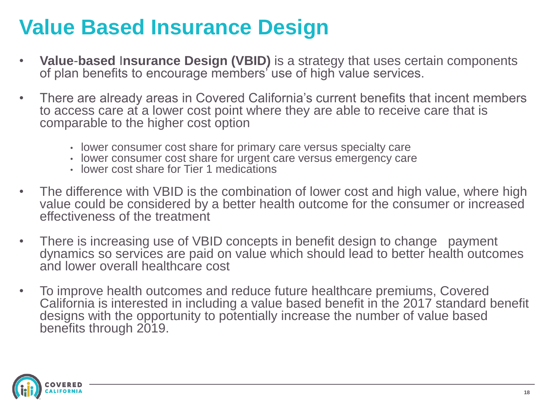### **Value Based Insurance Design**

- **Value**-**based** I**nsurance Design (VBID)** is a strategy that uses certain components of plan benefits to encourage members' use of high value services.
- There are already areas in Covered California's current benefits that incent members to access care at a lower cost point where they are able to receive care that is comparable to the higher cost option
	- lower consumer cost share for primary care versus specialty care
	- lower consumer cost share for urgent care versus emergency care
	- lower cost share for Tier 1 medications
- The difference with VBID is the combination of lower cost and high value, where high value could be considered by a better health outcome for the consumer or increased effectiveness of the treatment
- There is increasing use of VBID concepts in benefit design to change payment dynamics so services are paid on value which should lead to better health outcomes and lower overall healthcare cost
- To improve health outcomes and reduce future healthcare premiums, Covered California is interested in including a value based benefit in the 2017 standard benefit designs with the opportunity to potentially increase the number of value based benefits through 2019.

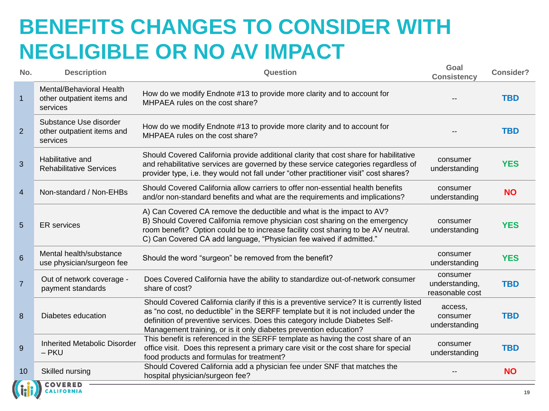### **BENEFITS CHANGES TO CONSIDER WITH NEGLIGIBLE OR NO AV IMPACT**

| No.            | <b>Description</b>                                                 | Question                                                                                                                                                                                                                                                                                                                             | Goal<br><b>Consistency</b>                    | <b>Consider?</b> |
|----------------|--------------------------------------------------------------------|--------------------------------------------------------------------------------------------------------------------------------------------------------------------------------------------------------------------------------------------------------------------------------------------------------------------------------------|-----------------------------------------------|------------------|
| $\mathbf{1}$   | Mental/Behavioral Health<br>other outpatient items and<br>services | How do we modify Endnote #13 to provide more clarity and to account for<br>MHPAEA rules on the cost share?                                                                                                                                                                                                                           |                                               | <b>TBD</b>       |
| $\overline{2}$ | Substance Use disorder<br>other outpatient items and<br>services   | How do we modify Endnote #13 to provide more clarity and to account for<br>MHPAEA rules on the cost share?                                                                                                                                                                                                                           |                                               | <b>TBD</b>       |
| $\overline{3}$ | Habilitative and<br><b>Rehabilitative Services</b>                 | Should Covered California provide additional clarity that cost share for habilitative<br>and rehabilitative services are governed by these service categories regardless of<br>provider type, i.e. they would not fall under "other practitioner visit" cost shares?                                                                 | consumer<br>understanding                     | <b>YES</b>       |
| $\overline{4}$ | Non-standard / Non-EHBs                                            | Should Covered California allow carriers to offer non-essential health benefits<br>and/or non-standard benefits and what are the requirements and implications?                                                                                                                                                                      | consumer<br>understanding                     | <b>NO</b>        |
| 5              | <b>ER</b> services                                                 | A) Can Covered CA remove the deductible and what is the impact to AV?<br>B) Should Covered California remove physician cost sharing on the emergency<br>room benefit? Option could be to increase facility cost sharing to be AV neutral.<br>C) Can Covered CA add language, "Physician fee waived if admitted."                     | consumer<br>understanding                     | <b>YES</b>       |
| $6\phantom{1}$ | Mental health/substance<br>use physician/surgeon fee               | Should the word "surgeon" be removed from the benefit?                                                                                                                                                                                                                                                                               | consumer<br>understanding                     | <b>YES</b>       |
| $\overline{7}$ | Out of network coverage -<br>payment standards                     | Does Covered California have the ability to standardize out-of-network consumer<br>share of cost?                                                                                                                                                                                                                                    | consumer<br>understanding,<br>reasonable cost | <b>TBD</b>       |
| 8              | Diabetes education                                                 | Should Covered California clarify if this is a preventive service? It is currently listed<br>as "no cost, no deductible" in the SERFF template but it is not included under the<br>definition of preventive services. Does this category include Diabetes Self-<br>Management training, or is it only diabetes prevention education? | access,<br>consumer<br>understanding          | <b>TBD</b>       |
| 9              | <b>Inherited Metabolic Disorder</b><br>$-$ PKU                     | This benefit is referenced in the SERFF template as having the cost share of an<br>office visit. Does this represent a primary care visit or the cost share for special<br>food products and formulas for treatment?                                                                                                                 | consumer<br>understanding                     | <b>TBD</b>       |
| 10             | Skilled nursing<br><b>A. S. N COVERED</b>                          | Should Covered California add a physician fee under SNF that matches the<br>hospital physician/surgeon fee?                                                                                                                                                                                                                          |                                               | <b>NO</b>        |

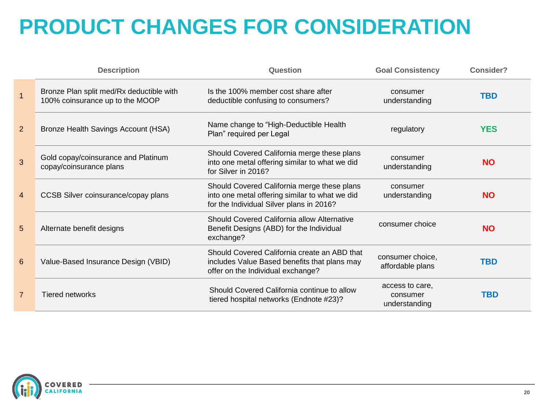## **PRODUCT CHANGES FOR CONSIDERATION**

|                 | <b>Description</b>                                                          | Question                                                                                                                                  | <b>Goal Consistency</b>                      | Consider?  |
|-----------------|-----------------------------------------------------------------------------|-------------------------------------------------------------------------------------------------------------------------------------------|----------------------------------------------|------------|
| $\overline{1}$  | Bronze Plan split med/Rx deductible with<br>100% coinsurance up to the MOOP | Is the 100% member cost share after<br>deductible confusing to consumers?                                                                 | consumer<br>understanding                    | <b>TBD</b> |
| 2 <sup>2</sup>  | Bronze Health Savings Account (HSA)                                         | Name change to "High-Deductible Health<br>Plan" required per Legal                                                                        | regulatory                                   | <b>YES</b> |
| 3               | Gold copay/coinsurance and Platinum<br>copay/coinsurance plans              | Should Covered California merge these plans<br>into one metal offering similar to what we did<br>for Silver in 2016?                      | consumer<br>understanding                    | <b>NO</b>  |
| $\overline{4}$  | CCSB Silver coinsurance/copay plans                                         | Should Covered California merge these plans<br>into one metal offering similar to what we did<br>for the Individual Silver plans in 2016? | consumer<br>understanding                    | <b>NO</b>  |
| $5\overline{)}$ | Alternate benefit designs                                                   | Should Covered California allow Alternative<br>Benefit Designs (ABD) for the Individual<br>exchange?                                      | consumer choice                              | <b>NO</b>  |
| $6\phantom{1}$  | Value-Based Insurance Design (VBID)                                         | Should Covered California create an ABD that<br>includes Value Based benefits that plans may<br>offer on the Individual exchange?         | consumer choice,<br>affordable plans         | <b>TBD</b> |
| $\overline{7}$  | <b>Tiered networks</b>                                                      | Should Covered California continue to allow<br>tiered hospital networks (Endnote #23)?                                                    | access to care.<br>consumer<br>understanding | <b>TBD</b> |

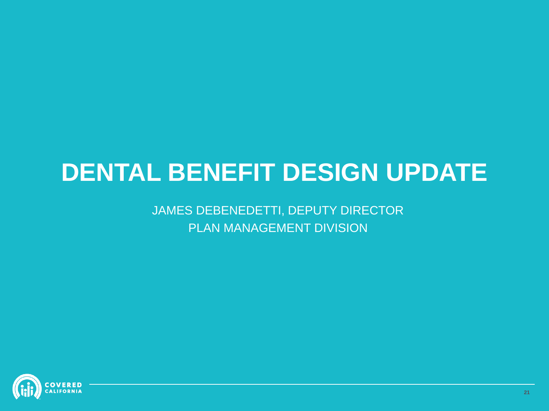# **DENTAL BENEFIT DESIGN UPDATE**

JAMES DEBENEDETTI, DEPUTY DIRECTOR PLAN MANAGEMENT DIVISION

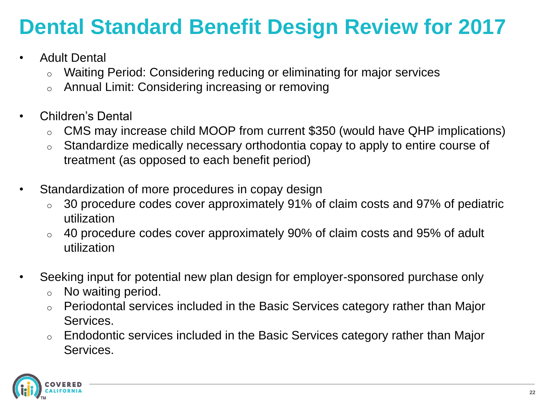## **Dental Standard Benefit Design Review for 2017**

- Adult Dental
	- o Waiting Period: Considering reducing or eliminating for major services
	- o Annual Limit: Considering increasing or removing
- Children's Dental
	- o CMS may increase child MOOP from current \$350 (would have QHP implications)
	- o Standardize medically necessary orthodontia copay to apply to entire course of treatment (as opposed to each benefit period)
- Standardization of more procedures in copay design
	- $\circ$  30 procedure codes cover approximately 91% of claim costs and 97% of pediatric utilization
	- o 40 procedure codes cover approximately 90% of claim costs and 95% of adult utilization
- Seeking input for potential new plan design for employer-sponsored purchase only
	- o No waiting period.
	- o Periodontal services included in the Basic Services category rather than Major Services.
	- o Endodontic services included in the Basic Services category rather than Major Services.

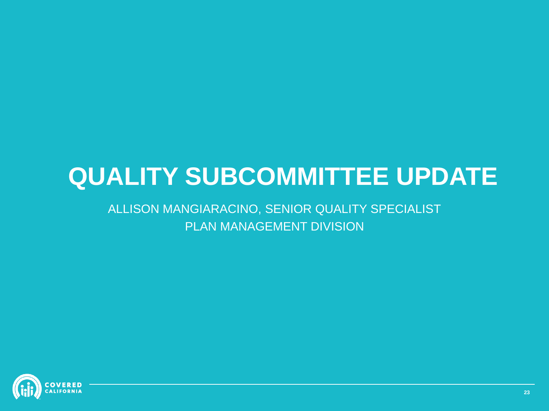# **QUALITY SUBCOMMITTEE UPDATE**

#### ALLISON MANGIARACINO, SENIOR QUALITY SPECIALIST PLAN MANAGEMENT DIVISION

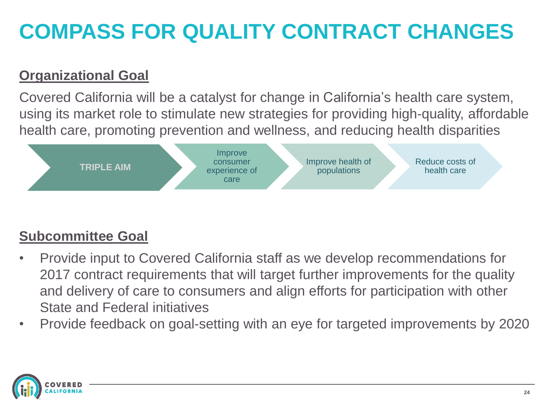## **COMPASS FOR QUALITY CONTRACT CHANGES**

#### **Organizational Goal**

Covered California will be a catalyst for change in California's health care system, using its market role to stimulate new strategies for providing high-quality, affordable health care, promoting prevention and wellness, and reducing health disparities



#### **Subcommittee Goal**

- Provide input to Covered California staff as we develop recommendations for 2017 contract requirements that will target further improvements for the quality and delivery of care to consumers and align efforts for participation with other State and Federal initiatives
- Provide feedback on goal-setting with an eye for targeted improvements by 2020

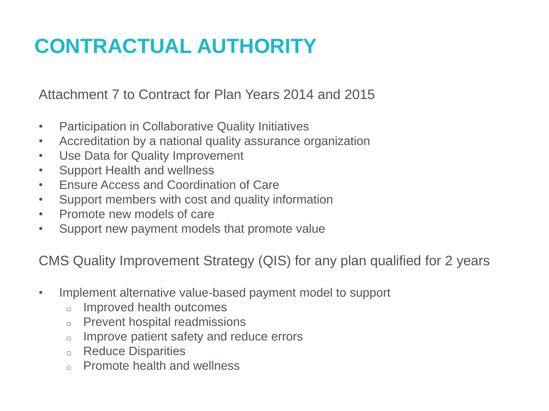### **CONTRACTUAL AUTHORITY**

Attachment 7 to Contract for Plan Years 2014 and 2015

- Participation in Collaborative Quality Initiatives
- Accreditation by a national quality assurance organization
- Use Data for Quality Improvement
- Support Health and wellness
- Ensure Access and Coordination of Care
- Support members with cost and quality information
- Promote new models of care
- Support new payment models that promote value

CMS Quality Improvement Strategy (QIS) for any plan qualified for 2 years

- Implement alternative value-based payment model to support
	- o Improved health outcomes
	- o Prevent hospital readmissions
	- o Improve patient safety and reduce errors
	- o Reduce Disparities
	- o Promote health and wellness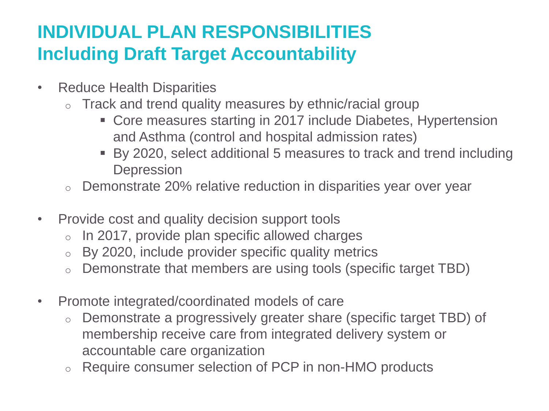### **INDIVIDUAL PLAN RESPONSIBILITIES Including Draft Target Accountability**

- Reduce Health Disparities
	- o Track and trend quality measures by ethnic/racial group
		- Core measures starting in 2017 include Diabetes, Hypertension and Asthma (control and hospital admission rates)
		- By 2020, select additional 5 measures to track and trend including **Depression**
	- o Demonstrate 20% relative reduction in disparities year over year
- Provide cost and quality decision support tools
	- $\circ$  In 2017, provide plan specific allowed charges
	- o By 2020, include provider specific quality metrics
	- o Demonstrate that members are using tools (specific target TBD)
- Promote integrated/coordinated models of care
	- o Demonstrate a progressively greater share (specific target TBD) of membership receive care from integrated delivery system or accountable care organization
	- Require consumer selection of PCP in non-HMO products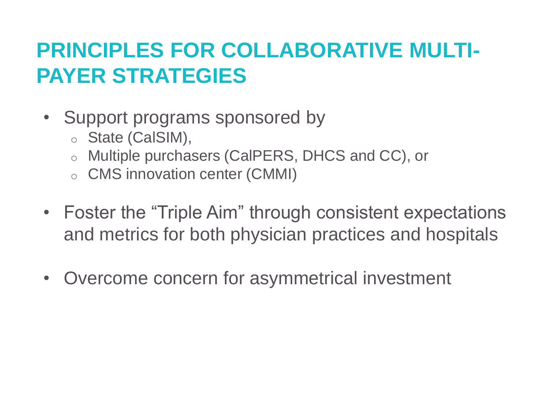### **PRINCIPLES FOR COLLABORATIVE MULTI-PAYER STRATEGIES**

- Support programs sponsored by
	- o State (CalSIM),
	- o Multiple purchasers (CalPERS, DHCS and CC), or
	- o CMS innovation center (CMMI)
- Foster the "Triple Aim" through consistent expectations and metrics for both physician practices and hospitals
- Overcome concern for asymmetrical investment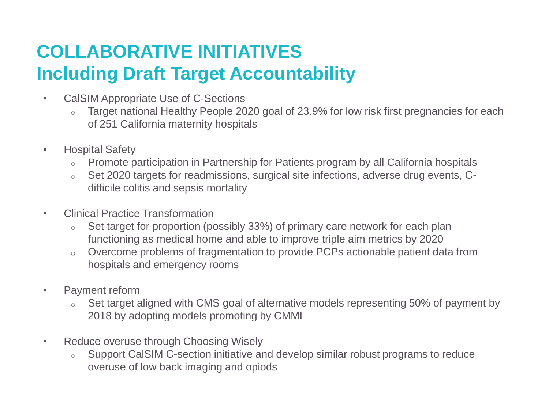### **COLLABORATIVE INITIATIVES Including Draft Target Accountability**

- CalSIM Appropriate Use of C-Sections
	- o Target national Healthy People 2020 goal of 23.9% for low risk first pregnancies for each of 251 California maternity hospitals
- Hospital Safety
	- o Promote participation in Partnership for Patients program by all California hospitals
	- o Set 2020 targets for readmissions, surgical site infections, adverse drug events, Cdifficile colitis and sepsis mortality
- Clinical Practice Transformation
	- o Set target for proportion (possibly 33%) of primary care network for each plan functioning as medical home and able to improve triple aim metrics by 2020
	- o Overcome problems of fragmentation to provide PCPs actionable patient data from hospitals and emergency rooms
- Payment reform
	- o Set target aligned with CMS goal of alternative models representing 50% of payment by 2018 by adopting models promoting by CMMI
- Reduce overuse through Choosing Wisely
	- o Support CalSIM C-section initiative and develop similar robust programs to reduce overuse of low back imaging and opiods